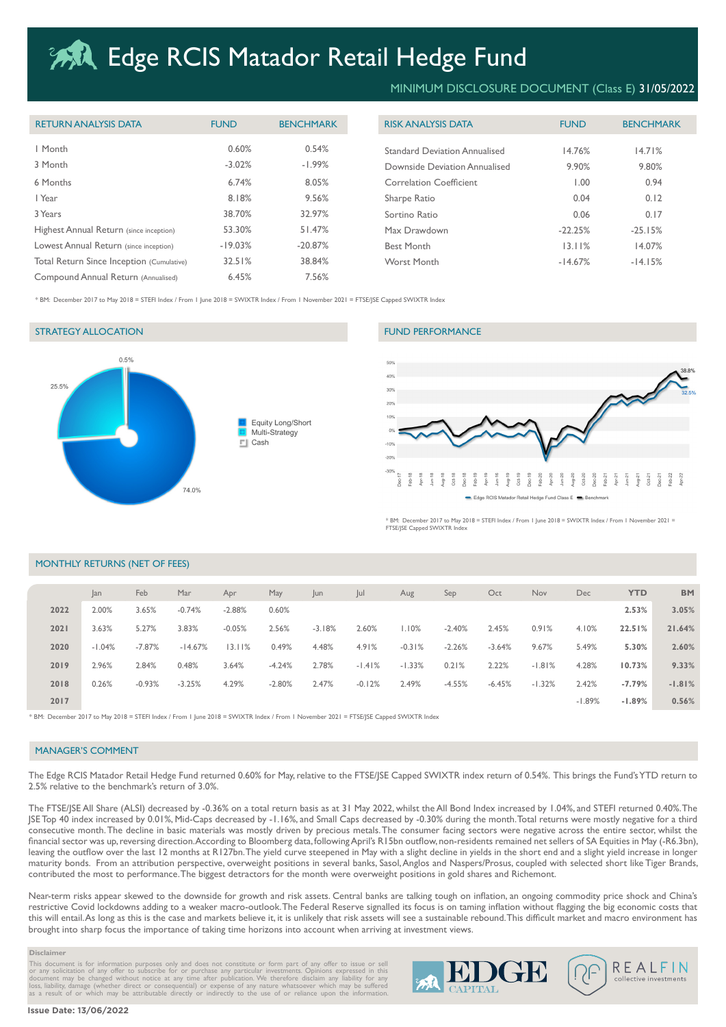# **ARA Edge RCIS Matador Retail Hedge Fund**

| <b>RETURN ANALYSIS DATA</b>               | <b>FUND</b> | <b>BENCHMARK</b> | <b>RISK ANALYSIS DATA</b>            | <b>FUND</b> | <b>BENCHMARK</b> |
|-------------------------------------------|-------------|------------------|--------------------------------------|-------------|------------------|
| I Month                                   | 0.60%       | 0.54%            | <b>Standard Deviation Annualised</b> | 14.76%      | 14.71%           |
| 3 Month                                   | $-3.02%$    | $-1.99%$         | Downside Deviation Annualised        | 9.90%       | 9.80%            |
| 6 Months                                  | 6.74%       | 8.05%            | <b>Correlation Coefficient</b>       | 00. ا       | 0.94             |
| l Year                                    | 8.18%       | 9.56%            | Sharpe Ratio                         | 0.04        | 0.12             |
| 3 Years                                   | 38.70%      | 32.97%           | Sortino Ratio                        | 0.06        | 0.17             |
| Highest Annual Return (since inception)   | 53.30%      | 51.47%           | Max Drawdown                         | $-22.25%$   | $-25.15%$        |
| Lowest Annual Return (since inception)    | $-19.03%$   | $-20.87%$        | <b>Best Month</b>                    | 13.11%      | 14.07%           |
| Total Return Since Inception (Cumulative) | 32.51%      | 38.84%           | Worst Month                          | $-14.67%$   | $-14.15%$        |
| Compound Annual Return (Annualised)       | 6.45%       | 7.56%            |                                      |             |                  |

# MINIMUM DISCLOSURE DOCUMENT (Class E) 31/05/2022

| <b>FUND</b> | <b>BENCHMARK</b> |  |  |
|-------------|------------------|--|--|
| 14.76%      | 14.71%           |  |  |
| 9.90%       | 9.80%            |  |  |
| 1.00        | 0.94             |  |  |
| 0.04        | 0.12             |  |  |
| 0.06        | 0.17             |  |  |
| $-22.25%$   | $-25.15%$        |  |  |
| 13.11%      | 14.07%           |  |  |
| $-14.67%$   | $-14.15%$        |  |  |
|             |                  |  |  |

\* BM: December 2017 to May 2018 = STEFI Index / From 1 June 2018 = SWIXTR Index / From 1 November 2021 = FTSE/JSE Capped SWIXTR Index

# STRATEGY ALLOCATION FUND PERFORMANCE





mber 2017 to May 2018 = STEFI Index / From 1 June 2018 = SWIXTR Index / From 1 November 2021 = FTSE/JSE Capped SWIXTR Index

## MONTHLY RETURNS (NET OF FEES)

|      | lan      | Feb      | Mar       | Apr      | May      | Jun      | Jul      | Aug      | Sep      | Oct      | Nov      | Dec      | <b>YTD</b> | <b>BM</b> |
|------|----------|----------|-----------|----------|----------|----------|----------|----------|----------|----------|----------|----------|------------|-----------|
| 2022 | 2.00%    | 3.65%    | $-0.74%$  | $-2.88%$ | 0.60%    |          |          |          |          |          |          |          | 2.53%      | 3.05%     |
| 2021 | 3.63%    | 5.27%    | 3.83%     | $-0.05%$ | 2.56%    | $-3.18%$ | 2.60%    | 1.10%    | $-2.40%$ | 2.45%    | 0.91%    | 4.10%    | 22.51%     | 21.64%    |
| 2020 | $-1.04%$ | $-7.87%$ | $-14.67%$ | 13.11%   | 0.49%    | 4.48%    | 4.91%    | $-0.31%$ | $-2.26%$ | $-3.64%$ | 9.67%    | 5.49%    | 5.30%      | 2.60%     |
| 2019 | 2.96%    | 2.84%    | 0.48%     | 3.64%    | $-4.24%$ | 2.78%    | $-1.41%$ | $-1.33%$ | 0.21%    | 2.22%    | $-1.81%$ | 4.28%    | 10.73%     | 9.33%     |
| 2018 | 0.26%    | $-0.93%$ | $-3.25%$  | 4.29%    | $-2.80%$ | 2.47%    | $-0.12%$ | 2.49%    | $-4.55%$ | $-6.45%$ | $-1.32%$ | 2.42%    | $-7.79%$   | $-1.81%$  |
| 2017 |          |          |           |          |          |          |          |          |          |          |          | $-1.89%$ | $-1.89%$   | 0.56%     |

\* BM: December 2017 to May 2018 = STEFI Index / From 1 June 2018 = SWIXTR Index / From 1 November 2021 = FTSE/JSE Capped SWIXTR Index

### MANAGER'S COMMENT

The Edge RCIS Matador Retail Hedge Fund returned 0.60% for May, relative to the FTSE/JSE Capped SWIXTR index return of 0.54%. This brings the Fund's YTD return to 2.5% relative to the benchmark's return of 3.0%.

The FTSE/JSE All Share (ALSI) decreased by -0.36% on a total return basis as at 31 May 2022, whilst the All Bond Index increased by 1.04%, and STEFI returned 0.40%. The JSE Top 40 index increased by 0.01%, Mid-Caps decreased by -1.16%, and Small Caps decreased by -0.30% during the month. Total returns were mostly negative for a third consecutive month. The decline in basic materials was mostly driven by precious metals. The consumer facing sectors were negative across the entire sector, whilst the financial sector was up, reversing direction. According to Bloomberg data, following April's R15bn outflow, non-residents remained net sellers of SA Equities in May (-R6.3bn), leaving the outflow over the last 12 months at R127bn. The yield curve steepened in May with a slight decline in yields in the short end and a slight yield increase in longer maturity bonds. From an attribution perspective, overweight positions in several banks, Sasol, Anglos and Naspers/Prosus, coupled with selected short like Tiger Brands, contributed the most to performance. The biggest detractors for the month were overweight positions in gold shares and Richemont.

Near-term risks appear skewed to the downside for growth and risk assets. Central banks are talking tough on inflation, an ongoing commodity price shock and China's restrictive Covid lockdowns adding to a weaker macro-outlook. The Federal Reserve signalled its focus is on taming inflation without flagging the big economic costs that this will entail. As long as this is the case and markets believe it, it is unlikely that risk assets will see a sustainable rebound. This difficult market and macro environment has brought into sharp focus the importance of taking time horizons into account when arriving at investment views.

#### **Disclaimer**

This document is for information purposes only and does not constitute or form part of any offer to issue or sell<br>or any solicitation of any offer to subscribe for or purchase any particular investments. Opinions expressed

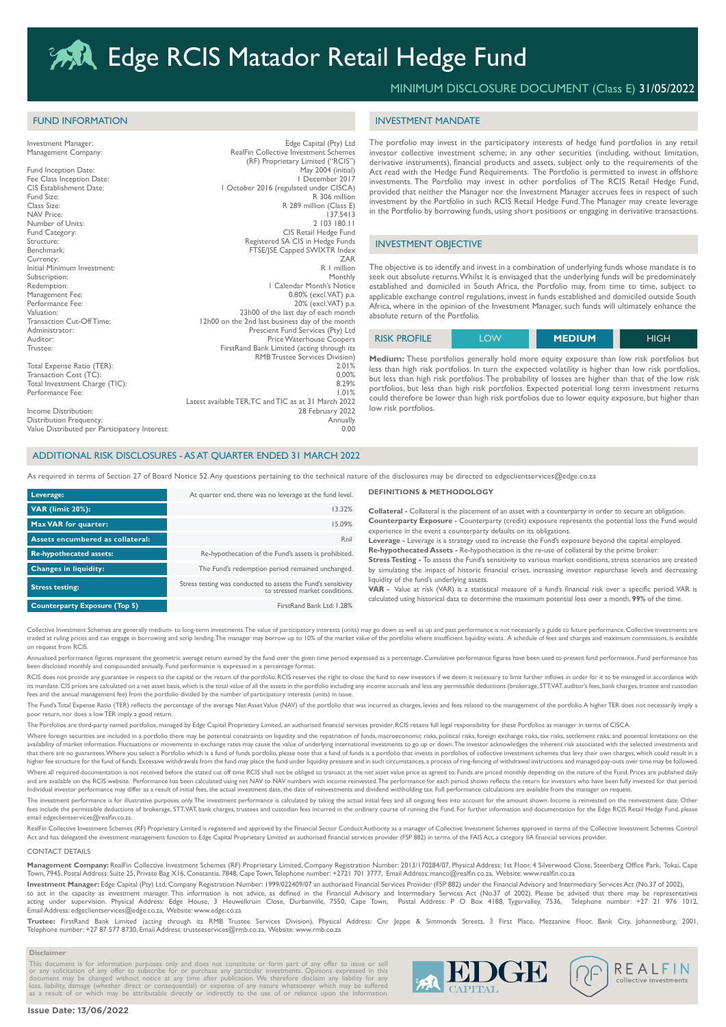R 289 million (Class E)<br>137 5413

# MINIMUM DISCLOSURE DOCUMENT (Class E) 31/05/2022

### INVESTMENT MANDATE

The portfolio may invest in the participatory interests of hedge fund portfolios in any retail investor collective investment scheme; in any other securities (including, without limitation, derivative instruments), financial products and assets, subject only to the requirements of the Act read with the Hedge Fund Requirements. The Portfolio is permitted to invest in offshore investments. The Portfolio may invest in other portfolios of The RCIS Retail Hedge Fund, provided that neither the Manager nor the Investment Manager accrues fees in respect of such investment by the Portfolio in such RCIS Retail Hedge Fund. The Manager may create leverage in the Portfolio by borrowing funds, using short positions or engaging in derivative transactions.

#### INVESTMENT OBJECTIVE

The objective is to identify and invest in a combination of underlying funds whose mandate is to seek out absolute returns. Whilst it is envisaged that the underlying funds will be predominately established and domiciled in South Africa, the Portfolio may, from time to time, subject to applicable exchange control regulations, invest in funds established and domiciled outside South Africa, where in the opinion of the Investment Manager, such funds will ultimately enhance the absolute return of the Portfolio.

| <b>RISK PROFILE</b> | <b>OW</b> | <b>MEDIUM</b> | <b>HIGH</b> |
|---------------------|-----------|---------------|-------------|
|---------------------|-----------|---------------|-------------|

**Medium:** These portfolios generally hold more equity exposure than low risk portfolios but less than high risk portfolios. In turn the expected volatility is higher than low risk portfolios, but less than high risk portfolios. The probability of losses are higher than that of the low risk portfolios, but less than high risk portfolios. Expected potential long term investment returns could therefore be lower than high risk portfolios due to lower equity exposure, but higher than low risk portfolios.

### ADDITIONAL RISK DISCLOSURES - AS AT QUARTER ENDED 31 MARCH 2022

Total Expense Ratio (TER): 2.01% 2.01% 2.01% 2.01% 2.01% 2.01% 2.01% 2.01% 2.01% 2.01% 2.01% 2.01% 2.01% 2.01%  $\frac{1}{1000}$  Transaction Cost  $(\overline{T}C)$ : 0.00% Total Investment Charge (TIC): 8.29%<br>Performance Fee: 1.01% Performance Fee: 1.01% Latest available TER,TC and TIC as at 31 March 2022 Income Distribution: 28 February 2022 Distribution Frequency: Annually

Investment Manager: Edge Capital (Pty) Ltd Management Company: RealFin Collective Investment Schemes (RF) Proprietary Limited ("RCIS") Fund Inception Date:  $\frac{M}{2004}$  (initial)<br>Fee Class Inception Date: Inc. May 2004 (initial)

CIS Establishment Date:<br>
1 October 2016 (regulated under CISCA)<br>
Fund Size:<br>
R 306 million Fund Size:<br>
R 306 million Class Size:<br>
R 289 million Class Execution Class Execution Class Execution Class Execution Class Execution Class Execution

NAV Price: 137.5413<br>
Number of Units: 137.5413<br>
2003 180.11

Tunneer of Oliveir.<br>Fund Category: CIS Retail Hedge Fund<br>Structure: Registered SA CIS in Hedge Funds Structure:<br>
Registered SA CIS in Hedge Funds<br>
RESE/ISE Capped SWIXTR Index<br>
FTSE/ISE Capped SWIXTR Index Benchmark: FTSE/JSE Capped SWIXTR Index<br>
Eurency: FTSE/JSE Capped SWIXTR Index<br>
ZAR Currency: ZAR Initial Minimum Investment: R 1 million Subscription: Monthly Redemption: 1 Calendar Month's Notice Management Fee: 0.80% (excl. VAT) p.a.<br>
Performance Fee: 0.80% (excl. VAT) p.a. Performance Fee: 20% (excl. VAT) p.a.<br>
23h00 of the last day of each month Valuation: 23h00 of the last day of each month<br>
Valuation: 23h00 of the last day of each month<br>
23h00 on the 2nd last business day of the month Transaction Cut-Off Time: 12h00 on the 2nd last business day of the month<br>Administrator: 12h00 on the 2nd last business day of the month Administrator: Prescient Fund Services (Pty) Ltd Auditor: Price Waterhouse Coopers Trustee: FirstRand Bank Limited (acting through its

As required in terms of Section 27 of Board Notice 52. Any questions pertaining to the technical nature of the disclosures may be directed to edgeclientservices@edge.co.za

RMB Trustee Services Division)

| Leverage:                            | At quarter end, there was no leverage at the fund level.                                        |
|--------------------------------------|-------------------------------------------------------------------------------------------------|
| <b>VAR</b> (limit 20%):              | 13.32%                                                                                          |
| <b>Max VAR for quarter:</b>          | 15.09%                                                                                          |
| Assets encumbered as collateral:     | Rnil                                                                                            |
| <b>Re-hypothecated assets:</b>       | Re-hypothecation of the Fund's assets is prohibited.                                            |
| <b>Changes in liquidity:</b>         | The Fund's redemption period remained unchanged.                                                |
| <b>Stress testing:</b>               | Stress testing was conducted to assess the Fund's sensitivity<br>to stressed market conditions. |
| <b>Counterparty Exposure (Top 5)</b> | FirstRand Bank Ltd: 1.28%                                                                       |

#### **DEFINITIONS & METHODOLOGY**

**Collateral -** Collateral is the placement of an asset with a counterparty in order to secure an obligation. **Counterparty Exposure -** Counterparty (credit) exposure represents the potential loss the Fund would experience in the event a counterparty defaults on its obligations.

**Leverage -** Leverage is a strategy used to increase the Fund's exposure beyond the capital employed. **Re-hypothecated Assets -** Re-hypothecation is the re-use of collateral by the prime broker. **Stress Testing -** To assess the Fund's sensitivity to various market conditions, stress scenarios are created by simulating the impact of historic financial crises, increasing investor repurchase levels and decreasing

liquidity of the fund's underlying assets. **VAR -** Value at risk (VAR) is a statistical measure of a fund's financial risk over a specific period. VAR is

calculated using historical data to determine the maximum potential loss over a month, **99%** of the time.

Collective Investment Schemes are generally medium- to long-term investments. The value of participatory interests (units) may go down as well as up and past performance is not necessarily a guide to future performance. Co traded at ruling prices and can engage in borrowing and scrip lending.The manager may borrow up to 10% of the market value of the portfolio where insufficient liquidity exists. A schedule of fees and charges and maximum co

Annualised performance figures represent the geometric average return earned by the fund over the given time period expressed as a percentage. Cumulative performance figures have been used to present fund performance. Fund been disclosed monthly and compounded annually. Fund performance is expressed in a percentage format.

RCIS does not provide any guarantee in respect to the capital or the return of the portfolio. RCIS reserves the right to close the fund to new investors if we deem it necessary to limit further inflows in order for it to b its mandate. CIS prices are calculated on a net asset basis, which is the total value of all the assets in the portfolio including any income accruals and less any permissible deductions (brokerage, STT,VAT, auditor's fees fees and the annual management fee) from the portfolio divided by the number of participatory interests (units) in issue.

The Fund's Total Expense Ratio (TER) reflects the percentage of the average Net Asset Value (NAV) of the portfolio that was incurred as charges, levies and fees related to the management of the portfolio. A higher TER does poor return, nor does a low TER imply a good return.

The Portfolios are third-party named portfolios, managed by Edge Capital Proprietary Limited, an authorised financial services provider. RCIS retains full legal responsibility for these Portfolios as manager in terms of CI

Where foreign securities are included in a portfolio there may be potential constraints on liquidity and the repatriation of funds, macroeconomic risks, political risks, foreign exchange risks, tax risks, settlement risks; availability of market information. Fluctuations or movements in exchange rates may cause the value of underlying international investments to go up or down.The investor acknowledges the inherent risk associated with the s higher fee structure for the fund of funds. Excessive withdrawals from the fund may place the fund under liquidity pressure and in such circumstances, a process of ring-fencing of withdrawal instructions and managed pay-ou -<br>Where all required documentation is not received before the stated cut off time RCIS shall not be obliged to transact at the net asset value price as agreed to. Funds are priced monthly depending on the nature of the Fun and are available on the RCIS website. Performance has been calculated using net NAV to NAV numbers with income reinvested. The performance for each period shown reflects the return for investors who have been fully invest

Individual investor performance may differ as a result of initial fees, the actual investment date, the date of reinvestments and dividend withholding tax. Full performance calculations are available from the manager on re The investment performance is for illustrative purposes only.The investment performance is calculated by taking the actual initial fees and all ongoing fees into account for the amount shown. Income is reinvested on the re email edgeclientservices@realfin.co.za.

RealFin Collective Investment Schemes (RF) Proprietary Limited is registered and approved by the Financial Sector Conduct Authority as a manager of Collective Investment Schemes approved in terms of the Collective Investme Act and has delegated the investment management function to Edge Capital Proprietary Limited an authorised financial services provider (FSP 882) in terms of the FAIS Act, a category IIA financial services provider

#### CONTACT DETAILS

FUND INFORMATION

Fee Class Inception Date:<br>CIS Establishment Date:

Value Distributed per Participatory Interest:

Number of Units:<br>Fund Category:

**Management Company:** RealFin Collective Investment Schemes (RF) Proprietary Limited, Company Registration Number: 2013/170284/07, Physical Address: 1st Floor, 4 Silverwood Close, Steenberg Office Park, Tokai, Cape<br>Town, 7

**Investment Manager:** Edge Capital (Pty) Ltd, Company Registration Number: 1999/022409/07 an authorised Financial Services Provider (FSP 882) under the Financial Advisory and Intermediary Services Act (No.37 of 2002),

to act in the capacity as investment manager. This information is not advice, as defined in the Financial Advisory and Intermediary Services Act (No.37 of 2002). Please be advised that there may be representative may be re acting under supervision. Physical Address: Edge House, 3 Heuwelkruin Close, Durbanville, 7550, Cape Town, Postal Address: P O Box 4188, Tygervalley, 7536, Telephone number: +27 21 976 1012, Email Address: edgeclientservices@edge.co.za, Website: www.edge.co.za

**Trustee:** FirstRand Bank Limited (acting through its RMB Trustee Services Division), Physical Address: Cnr Jeppe & Simmonds Streets, 3 First Place, Mezzanine Floor, Bank City, Johannesburg, 2001, Telephone number: +27 87 577 8730, Email Address: trusteeservices@rmb.co.za, Website: www.rmb.co.za

#### **Disclaimer**

This document is for information purposes only and does not constitute or form part of any offer to issue or sell<br>or any solicitation of any offer to subscribe for or purchase any particular investments. Opinions expressed



#### **Issue Date: 13/06/2022**